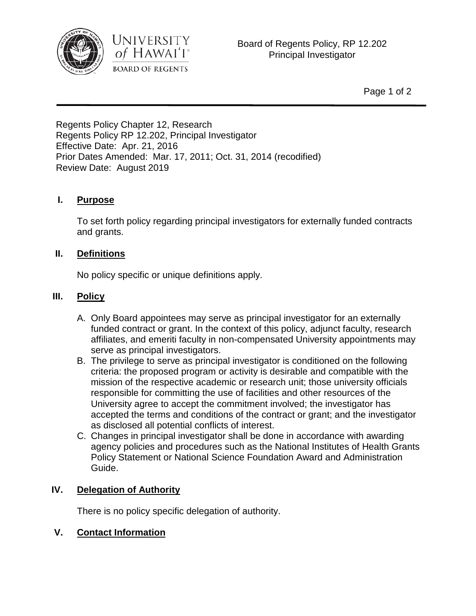



Regents Policy Chapter 12, Research Regents Policy RP 12.202, Principal Investigator Effective Date: Apr. 21, 2016 Prior Dates Amended: Mar. 17, 2011; Oct. 31, 2014 (recodified) Review Date: August 2019

# **I. Purpose**

To set forth policy regarding principal investigators for externally funded contracts and grants.

# **II. Definitions**

No policy specific or unique definitions apply.

# **III. Policy**

- A. Only Board appointees may serve as principal investigator for an externally funded contract or grant. In the context of this policy, adjunct faculty, research affiliates, and emeriti faculty in non-compensated University appointments may serve as principal investigators.
- B. The privilege to serve as principal investigator is conditioned on the following criteria: the proposed program or activity is desirable and compatible with the mission of the respective academic or research unit; those university officials responsible for committing the use of facilities and other resources of the University agree to accept the commitment involved; the investigator has accepted the terms and conditions of the contract or grant; and the investigator as disclosed all potential conflicts of interest.
- C. Changes in principal investigator shall be done in accordance with awarding agency policies and procedures such as the National Institutes of Health Grants Policy Statement or National Science Foundation Award and Administration Guide.

# **IV. Delegation of Authority**

There is no policy specific delegation of authority.

# **V. Contact Information**